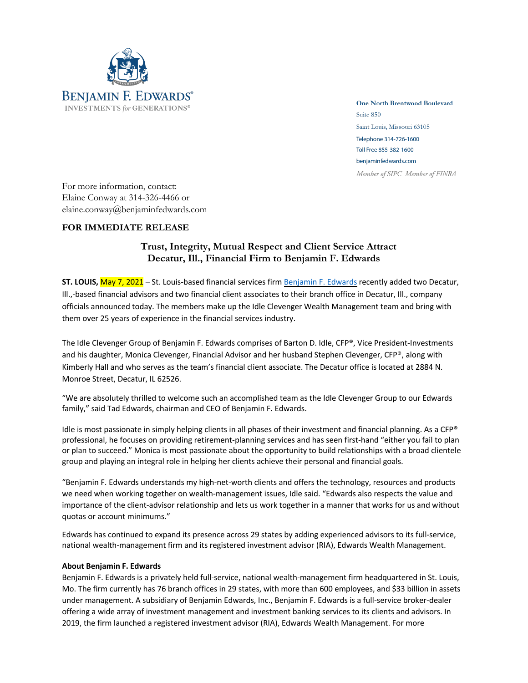

**One North Brentwood Boulevard** Suite 850 Saint Louis, Missouri 63105 Telephone 314-726-1600 Toll Free 855-382-1600 benjaminfedwards.com Member of SIPC Member of FINRA

For more information, contact: Elaine Conway at 314-326-4466 or elaine.conway@benjaminfedwards.com

## **FOR IMMEDIATE RELEASE**

## **Trust, Integrity, Mutual Respect and Client Service Attract Decatur, Ill., Financial Firm to Benjamin F. Edwards**

**ST. LOUIS,** May 7, 2021 – St. Louis-based financial services firm Benjamin F. Edwards recently added two Decatur, Ill.,-based financial advisors and two financial client associates to their branch office in Decatur, Ill., company officials announced today. The members make up the Idle Clevenger Wealth Management team and bring with them over 25 years of experience in the financial services industry.

The Idle Clevenger Group of Benjamin F. Edwards comprises of Barton D. Idle, CFP®, Vice President-Investments and his daughter, Monica Clevenger, Financial Advisor and her husband Stephen Clevenger, CFP®, along with Kimberly Hall and who serves as the team's financial client associate. The Decatur office is located at 2884 N. Monroe Street, Decatur, IL 62526.

"We are absolutely thrilled to welcome such an accomplished team as the Idle Clevenger Group to our Edwards family," said Tad Edwards, chairman and CEO of Benjamin F. Edwards.

Idle is most passionate in simply helping clients in all phases of their investment and financial planning. As a CFP® professional, he focuses on providing retirement-planning services and has seen first-hand "either you fail to plan or plan to succeed." Monica is most passionate about the opportunity to build relationships with a broad clientele group and playing an integral role in helping her clients achieve their personal and financial goals.

"Benjamin F. Edwards understands my high-net-worth clients and offers the technology, resources and products we need when working together on wealth-management issues, Idle said. "Edwards also respects the value and importance of the client-advisor relationship and lets us work together in a manner that works for us and without quotas or account minimums."

Edwards has continued to expand its presence across 29 states by adding experienced advisors to its full-service, national wealth-management firm and its registered investment advisor (RIA), Edwards Wealth Management.

## **About Benjamin F. Edwards**

Benjamin F. Edwards is a privately held full-service, national wealth-management firm headquartered in St. Louis, Mo. The firm currently has 76 branch offices in 29 states, with more than 600 employees, and \$33 billion in assets under management. A subsidiary of Benjamin Edwards, Inc., Benjamin F. Edwards is a full-service broker-dealer offering a wide array of investment management and investment banking services to its clients and advisors. In 2019, the firm launched a registered investment advisor (RIA), Edwards Wealth Management. For more